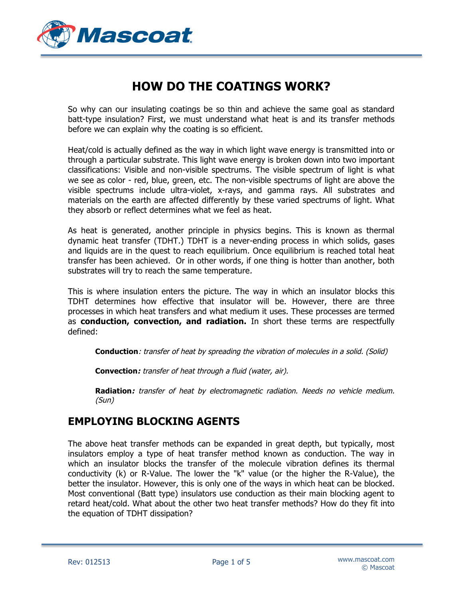

# **HOW DO THE COATINGS WORK?**

So why can our insulating coatings be so thin and achieve the same goal as standard batt-type insulation? First, we must understand what heat is and its transfer methods before we can explain why the coating is so efficient.

Heat/cold is actually defined as the way in which light wave energy is transmitted into or through a particular substrate. This light wave energy is broken down into two important classifications: Visible and non-visible spectrums. The visible spectrum of light is what we see as color - red, blue, green, etc. The non-visible spectrums of light are above the visible spectrums include ultra-violet, x-rays, and gamma rays. All substrates and materials on the earth are affected differently by these varied spectrums of light. What they absorb or reflect determines what we feel as heat.

As heat is generated, another principle in physics begins. This is known as thermal dynamic heat transfer (TDHT.) TDHT is a never-ending process in which solids, gases and liquids are in the quest to reach equilibrium. Once equilibrium is reached total heat transfer has been achieved. Or in other words, if one thing is hotter than another, both substrates will try to reach the same temperature.

This is where insulation enters the picture. The way in which an insulator blocks this TDHT determines how effective that insulator will be. However, there are three processes in which heat transfers and what medium it uses. These processes are termed as **conduction, convection, and radiation.** In short these terms are respectfully defined:

**Conduction**: transfer of heat by spreading the vibration of molecules in a solid. (Solid)

**Convection:** transfer of heat through a fluid (water, air).

**Radiation:** transfer of heat by electromagnetic radiation. Needs no vehicle medium. (Sun)

### **EMPLOYING BLOCKING AGENTS**

The above heat transfer methods can be expanded in great depth, but typically, most insulators employ a type of heat transfer method known as conduction. The way in which an insulator blocks the transfer of the molecule vibration defines its thermal conductivity (k) or R-Value. The lower the "k" value (or the higher the R-Value), the better the insulator. However, this is only one of the ways in which heat can be blocked. Most conventional (Batt type) insulators use conduction as their main blocking agent to retard heat/cold. What about the other two heat transfer methods? How do they fit into the equation of TDHT dissipation?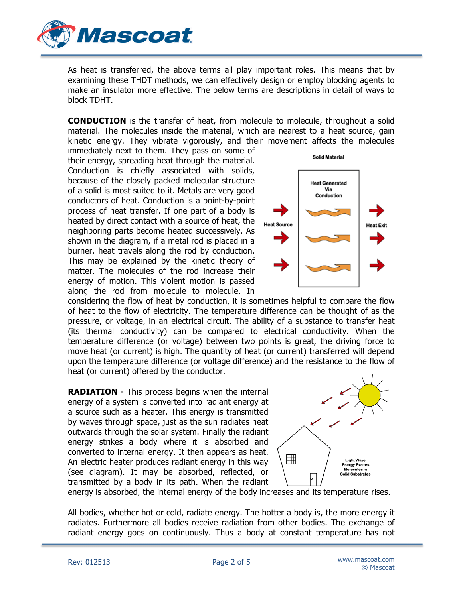

As heat is transferred, the above terms all play important roles. This means that by examining these THDT methods, we can effectively design or employ blocking agents to make an insulator more effective. The below terms are descriptions in detail of ways to block TDHT.

**CONDUCTION** is the transfer of heat, from molecule to molecule, throughout a solid material. The molecules inside the material, which are nearest to a heat source, gain kinetic energy. They vibrate vigorously, and their movement affects the molecules

immediately next to them. They pass on some of their energy, spreading heat through the material. Conduction is chiefly associated with solids, because of the closely packed molecular structure of a solid is most suited to it. Metals are very good conductors of heat. Conduction is a point-by-point process of heat transfer. If one part of a body is heated by direct contact with a source of heat, the neighboring parts become heated successively. As shown in the diagram, if a metal rod is placed in a burner, heat travels along the rod by conduction. This may be explained by the kinetic theory of matter. The molecules of the rod increase their energy of motion. This violent motion is passed along the rod from molecule to molecule. In



considering the flow of heat by conduction, it is sometimes helpful to compare the flow of heat to the flow of electricity. The temperature difference can be thought of as the pressure, or voltage, in an electrical circuit. The ability of a substance to transfer heat (its thermal conductivity) can be compared to electrical conductivity. When the temperature difference (or voltage) between two points is great, the driving force to move heat (or current) is high. The quantity of heat (or current) transferred will depend upon the temperature difference (or voltage difference) and the resistance to the flow of heat (or current) offered by the conductor.

**RADIATION** - This process begins when the internal energy of a system is converted into radiant energy at a source such as a heater. This energy is transmitted by waves through space, just as the sun radiates heat outwards through the solar system. Finally the radiant energy strikes a body where it is absorbed and converted to internal energy. It then appears as heat. An electric heater produces radiant energy in this way (see diagram). It may be absorbed, reflected, or transmitted by a body in its path. When the radiant



energy is absorbed, the internal energy of the body increases and its temperature rises.

All bodies, whether hot or cold, radiate energy. The hotter a body is, the more energy it radiates. Furthermore all bodies receive radiation from other bodies. The exchange of radiant energy goes on continuously. Thus a body at constant temperature has not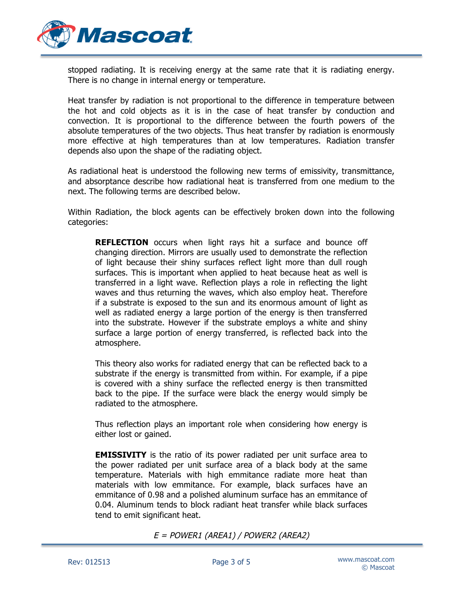

stopped radiating. It is receiving energy at the same rate that it is radiating energy. There is no change in internal energy or temperature.

Heat transfer by radiation is not proportional to the difference in temperature between the hot and cold objects as it is in the case of heat transfer by conduction and convection. It is proportional to the difference between the fourth powers of the absolute temperatures of the two objects. Thus heat transfer by radiation is enormously more effective at high temperatures than at low temperatures. Radiation transfer depends also upon the shape of the radiating object.

As radiational heat is understood the following new terms of emissivity, transmittance, and absorptance describe how radiational heat is transferred from one medium to the next. The following terms are described below.

Within Radiation, the block agents can be effectively broken down into the following categories:

**REFLECTION** occurs when light rays hit a surface and bounce off changing direction. Mirrors are usually used to demonstrate the reflection of light because their shiny surfaces reflect light more than dull rough surfaces. This is important when applied to heat because heat as well is transferred in a light wave. Reflection plays a role in reflecting the light waves and thus returning the waves, which also employ heat. Therefore if a substrate is exposed to the sun and its enormous amount of light as well as radiated energy a large portion of the energy is then transferred into the substrate. However if the substrate employs a white and shiny surface a large portion of energy transferred, is reflected back into the atmosphere.

This theory also works for radiated energy that can be reflected back to a substrate if the energy is transmitted from within. For example, if a pipe is covered with a shiny surface the reflected energy is then transmitted back to the pipe. If the surface were black the energy would simply be radiated to the atmosphere.

Thus reflection plays an important role when considering how energy is either lost or gained.

**EMISSIVITY** is the ratio of its power radiated per unit surface area to the power radiated per unit surface area of a black body at the same temperature. Materials with high emmitance radiate more heat than materials with low emmitance. For example, black surfaces have an emmitance of 0.98 and a polished aluminum surface has an emmitance of 0.04. Aluminum tends to block radiant heat transfer while black surfaces tend to emit significant heat.

 $E = POWER1 (AREA1) / POWER2 (AREA2)$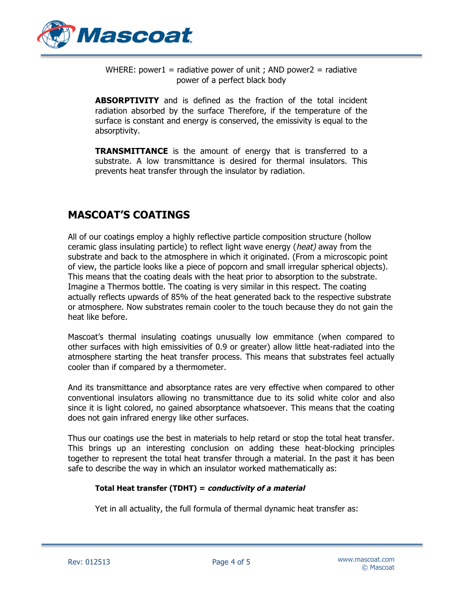

WHERE: power1 = radiative power of unit ; AND power2 = radiative power of a perfect black body

**ABSORPTIVITY** and is defined as the fraction of the total incident radiation absorbed by the surface Therefore, if the temperature of the surface is constant and energy is conserved, the emissivity is equal to the absorptivity.

**TRANSMITTANCE** is the amount of energy that is transferred to a substrate. A low transmittance is desired for thermal insulators. This prevents heat transfer through the insulator by radiation.

## **MASCOAT'S COATINGS**

All of our coatings employ a highly reflective particle composition structure (hollow ceramic glass insulating particle) to reflect light wave energy (heat) away from the substrate and back to the atmosphere in which it originated. (From a microscopic point of view, the particle looks like a piece of popcorn and small irregular spherical objects). This means that the coating deals with the heat prior to absorption to the substrate. Imagine a Thermos bottle. The coating is very similar in this respect. The coating actually reflects upwards of 85% of the heat generated back to the respective substrate or atmosphere. Now substrates remain cooler to the touch because they do not gain the heat like before.

Mascoat's thermal insulating coatings unusually low emmitance (when compared to other surfaces with high emissivities of 0.9 or greater) allow little heat-radiated into the atmosphere starting the heat transfer process. This means that substrates feel actually cooler than if compared by a thermometer.

And its transmittance and absorptance rates are very effective when compared to other conventional insulators allowing no transmittance due to its solid white color and also since it is light colored, no gained absorptance whatsoever. This means that the coating does not gain infrared energy like other surfaces.

Thus our coatings use the best in materials to help retard or stop the total heat transfer. This brings up an interesting conclusion on adding these heat-blocking principles together to represent the total heat transfer through a material. In the past it has been safe to describe the way in which an insulator worked mathematically as:

#### **Total Heat transfer (TDHT) = conductivity of a material**

Yet in all actuality, the full formula of thermal dynamic heat transfer as: